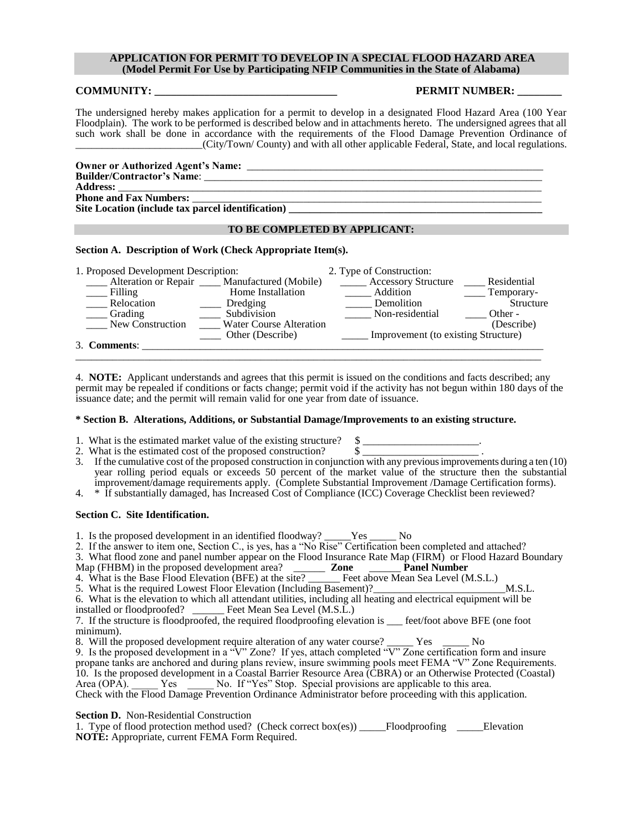### **APPLICATION FOR PERMIT TO DEVELOP IN A SPECIAL FLOOD HAZARD AREA (Model Permit For Use by Participating NFIP Communities in the State of Alabama)**

#### **COMMUNITY: PERMIT NUMBER:**

The undersigned hereby makes application for a permit to develop in a designated Flood Hazard Area (100 Year Floodplain). The work to be performed is described below and in attachments hereto. The undersigned agrees that all such work shall be done in accordance with the requirements of the Flood Damage Prevention Ordinance of \_\_\_\_\_\_\_\_\_\_\_\_\_\_\_\_\_\_\_\_\_\_\_\_(City/Town/ County) and with all other applicable Federal, State, and local regulations.

| <b>Owner or Authorized Agent's Name:</b>          |
|---------------------------------------------------|
| <b>Builder/Contractor's Name:</b>                 |
| <b>Address:</b>                                   |
| <b>Phone and Fax Numbers:</b>                     |
| Site Location (include tax parcel identification) |

# **TO BE COMPLETED BY APPLICANT:**

#### **Section A. Description of Work (Check Appropriate Item(s).**

| 1. Proposed Development Description: |                                                 | 2. Type of Construction:            |                     |
|--------------------------------------|-------------------------------------------------|-------------------------------------|---------------------|
|                                      | Alteration or Repair ____ Manufactured (Mobile) | Accessory Structure                 | Residential         |
| $\equiv$ Filling                     | Home Installation                               | Addition                            | $\equiv$ Temporary- |
| Relocation                           | Dredging                                        | Demolition                          | Structure           |
| Grading                              | Subdivision                                     | Non-residential                     | Other -             |
| New Construction                     | <b>Water Course Alteration</b>                  |                                     | (Describe)          |
|                                      | Other (Describe)                                | Improvement (to existing Structure) |                     |
| 3. Comments:                         |                                                 |                                     |                     |
|                                      |                                                 |                                     |                     |

4. **NOTE:** Applicant understands and agrees that this permit is issued on the conditions and facts described; any permit may be repealed if conditions or facts change; permit void if the activity has not begun within 180 days of the issuance date; and the permit will remain valid for one year from date of issuance.

## **\* Section B. Alterations, Additions, or Substantial Damage/Improvements to an existing structure.**

- 1. What is the estimated market value of the existing structure?  $\$\$
- 2. What is the estimated cost of the proposed construction?  $\S$
- 3. If the cumulative cost of the proposed construction in conjunction with any previous improvements during a ten (10) year rolling period equals or exceeds 50 percent of the market value of the structure then the substantial improvement/damage requirements apply. (Complete Substantial Improvement /Damage Certification forms).
- 4. \* If substantially damaged, has Increased Cost of Compliance (ICC) Coverage Checklist been reviewed?

#### **Section C. Site Identification.**

1. Is the proposed development in an identified floodway? \_\_\_\_\_Yes \_\_\_\_\_ No

2. If the answer to item one, Section C., is yes, has a "No Rise" Certification been completed and attached?

- 3. What flood zone and panel number appear on the Flood Insurance Rate Map (FIRM) or Flood Hazard Boundary
- Map (FHBM) in the proposed development area? \_\_\_\_\_\_ **Zone** \_\_\_\_\_\_ **Panel Number**

4. What is the Base Flood Elevation (BFE) at the site? \_\_\_\_\_\_ Feet above Mean Sea Level (M.S.L.)

5. What is the required Lowest Floor Elevation (Including Basement)?\_\_\_\_\_\_\_\_\_\_\_\_\_\_\_\_\_\_\_\_\_\_\_\_\_M.S.L.

6. What is the elevation to which all attendant utilities, including all heating and electrical equipment will be installed or floodproofed? \_\_\_\_\_\_ Feet Mean Sea Level (M.S.L.)

7. If the structure is floodproofed, the required floodproofing elevation is \_\_\_ feet/foot above BFE (one foot minimum).

8. Will the proposed development require alteration of any water course? \_\_\_\_\_\_ Yes \_\_\_\_\_\_ No

9. Is the proposed development in a "V" Zone? If yes, attach completed "V" Zone certification form and insure propane tanks are anchored and during plans review, insure swimming pools meet FEMA "V" Zone Requirements. 10. Is the proposed development in a Coastal Barrier Resource Area (CBRA) or an Otherwise Protected (Coastal) Area (OPA). Yes No. If "Yes" Stop. Special provisions are applicable to this area. Area (OPA). Yes No. If "Yes" Stop. Special provisions are applicable to this area. Check with the Flood Damage Prevention Ordinance Administrator before proceeding with this application.

**Section D.** Non-Residential Construction

1. Type of flood protection method used? (Check correct box(es)) \_\_\_\_\_Floodproofing \_\_\_\_\_Elevation **NOTE:** Appropriate, current FEMA Form Required.